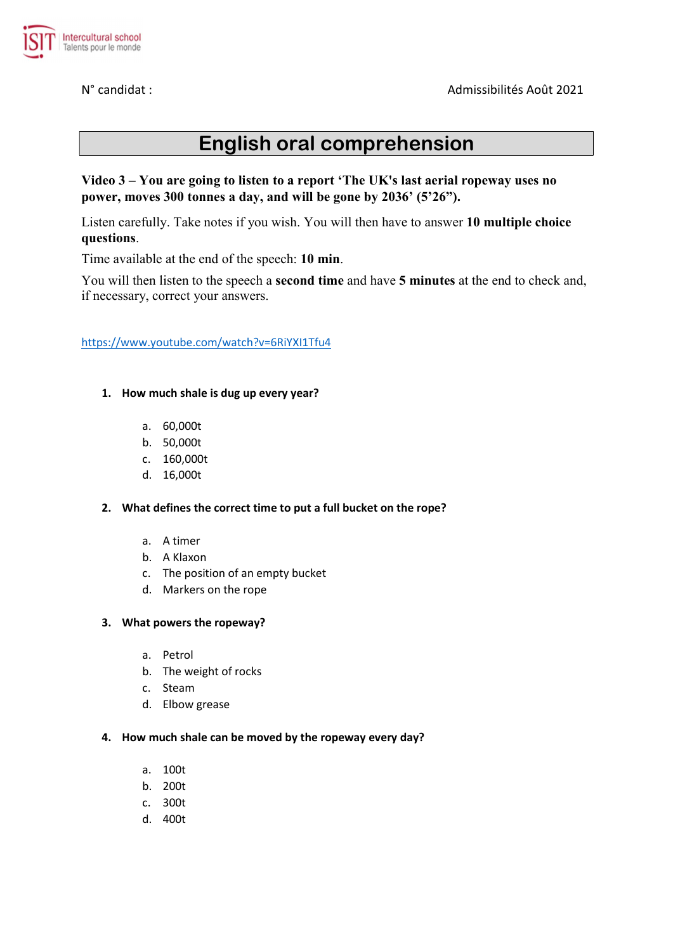

# English oral comprehension

## Video 3 – You are going to listen to a report 'The UK's last aerial ropeway uses no power, moves 300 tonnes a day, and will be gone by 2036' (5'26").

Listen carefully. Take notes if you wish. You will then have to answer 10 multiple choice questions.

Time available at the end of the speech: 10 min.

You will then listen to the speech a second time and have 5 minutes at the end to check and, if necessary, correct your answers.

https://www.youtube.com/watch?v=6RiYXI1Tfu4

- 1. How much shale is dug up every year?
	- a. 60,000t
	- b. 50,000t
	- c. 160,000t
	- d. 16,000t

#### 2. What defines the correct time to put a full bucket on the rope?

- a. A timer
- b. A Klaxon
- c. The position of an empty bucket
- d. Markers on the rope

#### 3. What powers the ropeway?

- a. Petrol
- b. The weight of rocks
- c. Steam
- d. Elbow grease

#### 4. How much shale can be moved by the ropeway every day?

- a. 100t
- b. 200t
- c. 300t
- d. 400t